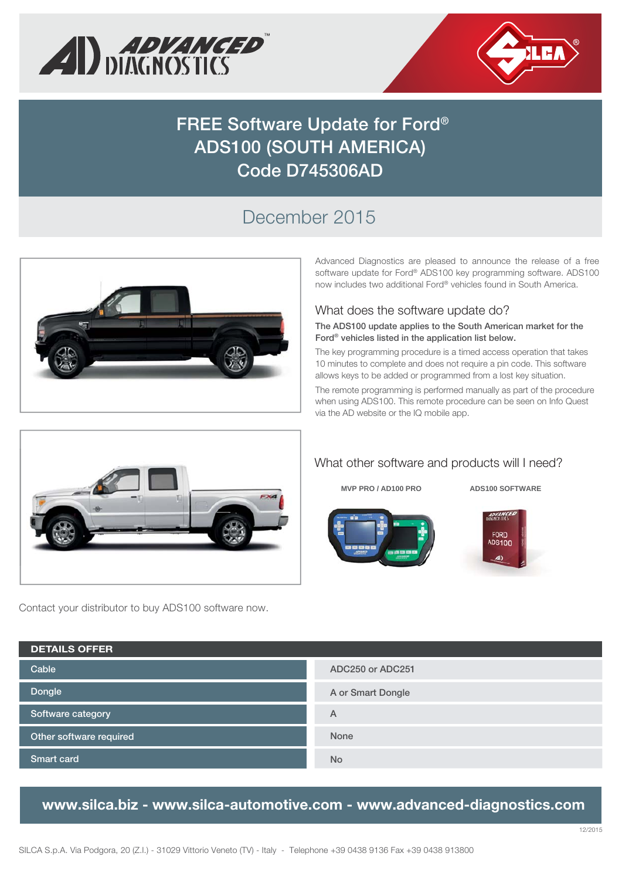



# **FREE Software Update for Ford® ADS100 (SOUTH AMERICA) Code D745306AD**

## December 2015



Advanced Diagnostics are pleased to announce the release of a free software update for Ford® ADS100 key programming software. ADS100 now includes two additional Ford® vehicles found in South America.

#### What does the software update do?

**The ADS100 update applies to the South American market for the Ford® vehicles listed in the application list below.** 

The key programming procedure is a timed access operation that takes 10 minutes to complete and does not require a pin code. This software allows keys to be added or programmed from a lost key situation.

The remote programming is performed manually as part of the procedure when using ADS100. This remote procedure can be seen on Info Quest via the AD website or the IQ mobile app.



Contact your distributor to buy ADS100 software now.

### What other software and products will I need?



**MVP PRO / AD100 PRO ADS100 SOFTWARE** 



| <b>DETAILS OFFER</b>    |                   |  |  |
|-------------------------|-------------------|--|--|
| Cable                   | ADC250 or ADC251  |  |  |
| Dongle                  | A or Smart Dongle |  |  |
| Software category       | A                 |  |  |
| Other software required | <b>None</b>       |  |  |
| <b>Smart card</b>       | <b>No</b>         |  |  |

### **www.silca.biz - www.silca-automotive.com - www.advanced-diagnostics.com**